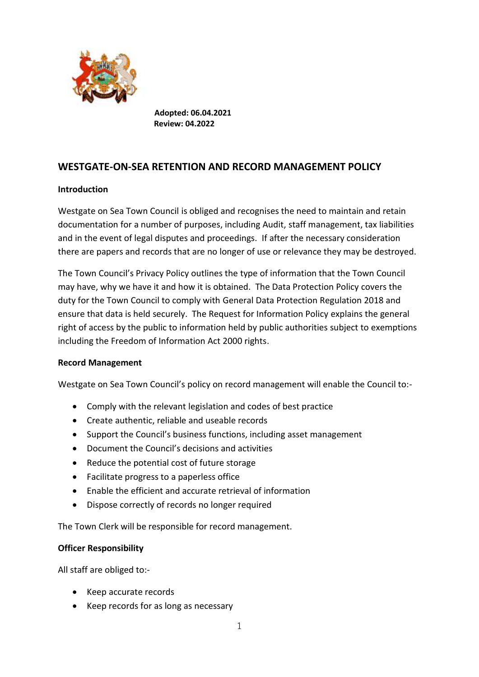

**Adopted: 06.04.2021 Review: 04.2022**

# **WESTGATE-ON-SEA RETENTION AND RECORD MANAGEMENT POLICY**

# **Introduction**

Westgate on Sea Town Council is obliged and recognises the need to maintain and retain documentation for a number of purposes, including Audit, staff management, tax liabilities and in the event of legal disputes and proceedings. If after the necessary consideration there are papers and records that are no longer of use or relevance they may be destroyed.

The Town Council's Privacy Policy outlines the type of information that the Town Council may have, why we have it and how it is obtained. The Data Protection Policy covers the duty for the Town Council to comply with General Data Protection Regulation 2018 and ensure that data is held securely. The Request for Information Policy explains the general right of access by the public to information held by public authorities subject to exemptions including the Freedom of Information Act 2000 rights.

## **Record Management**

Westgate on Sea Town Council's policy on record management will enable the Council to:-

- Comply with the relevant legislation and codes of best practice
- Create authentic, reliable and useable records
- Support the Council's business functions, including asset management
- Document the Council's decisions and activities
- Reduce the potential cost of future storage
- Facilitate progress to a paperless office
- Enable the efficient and accurate retrieval of information
- Dispose correctly of records no longer required

The Town Clerk will be responsible for record management.

## **Officer Responsibility**

All staff are obliged to:-

- Keep accurate records
- Keep records for as long as necessary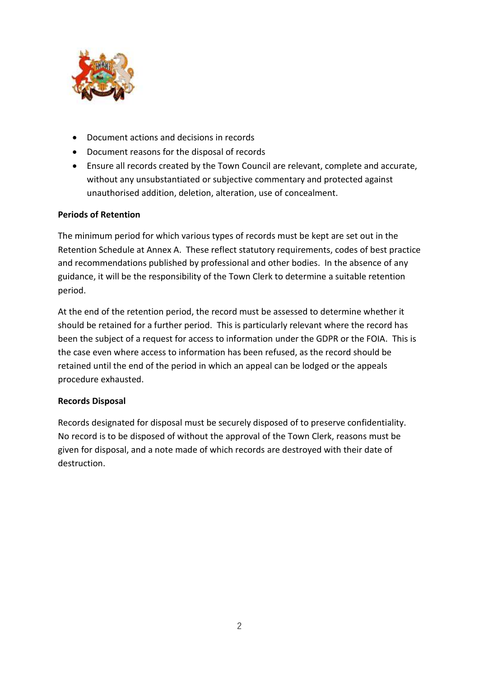

- Document actions and decisions in records
- Document reasons for the disposal of records
- Ensure all records created by the Town Council are relevant, complete and accurate, without any unsubstantiated or subjective commentary and protected against unauthorised addition, deletion, alteration, use of concealment.

## **Periods of Retention**

The minimum period for which various types of records must be kept are set out in the Retention Schedule at Annex A. These reflect statutory requirements, codes of best practice and recommendations published by professional and other bodies. In the absence of any guidance, it will be the responsibility of the Town Clerk to determine a suitable retention period.

At the end of the retention period, the record must be assessed to determine whether it should be retained for a further period. This is particularly relevant where the record has been the subject of a request for access to information under the GDPR or the FOIA. This is the case even where access to information has been refused, as the record should be retained until the end of the period in which an appeal can be lodged or the appeals procedure exhausted.

## **Records Disposal**

Records designated for disposal must be securely disposed of to preserve confidentiality. No record is to be disposed of without the approval of the Town Clerk, reasons must be given for disposal, and a note made of which records are destroyed with their date of destruction.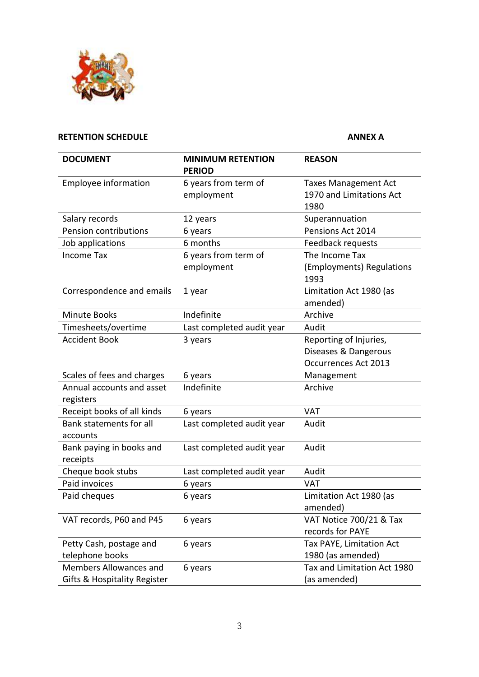

# **RETENTION SCHEDULE ANNEX A**

| <b>DOCUMENT</b>                         | <b>MINIMUM RETENTION</b>  | <b>REASON</b>                     |
|-----------------------------------------|---------------------------|-----------------------------------|
|                                         | <b>PERIOD</b>             |                                   |
| <b>Employee information</b>             | 6 years from term of      | <b>Taxes Management Act</b>       |
|                                         | employment                | 1970 and Limitations Act          |
|                                         |                           | 1980                              |
| Salary records                          | 12 years                  | Superannuation                    |
| Pension contributions                   | 6 years                   | Pensions Act 2014                 |
| Job applications                        | 6 months                  | Feedback requests                 |
| <b>Income Tax</b>                       | 6 years from term of      | The Income Tax                    |
|                                         | employment                | (Employments) Regulations<br>1993 |
| Correspondence and emails               | 1 year                    | Limitation Act 1980 (as           |
|                                         |                           | amended)                          |
| <b>Minute Books</b>                     | Indefinite                | Archive                           |
| Timesheets/overtime                     | Last completed audit year | Audit                             |
| <b>Accident Book</b>                    | 3 years                   | Reporting of Injuries,            |
|                                         |                           | Diseases & Dangerous              |
|                                         |                           | Occurrences Act 2013              |
| Scales of fees and charges              | 6 years                   | Management                        |
| Annual accounts and asset<br>registers  | Indefinite                | Archive                           |
| Receipt books of all kinds              | 6 years                   | <b>VAT</b>                        |
| Bank statements for all<br>accounts     | Last completed audit year | Audit                             |
| Bank paying in books and                | Last completed audit year | Audit                             |
| receipts                                |                           |                                   |
| Cheque book stubs                       | Last completed audit year | Audit                             |
| Paid invoices                           | 6 years                   | <b>VAT</b>                        |
| Paid cheques                            | 6 years                   | Limitation Act 1980 (as           |
|                                         |                           | amended)                          |
| VAT records, P60 and P45                | 6 years                   | VAT Notice 700/21 & Tax           |
|                                         |                           | records for PAYE                  |
| Petty Cash, postage and                 | 6 years                   | Tax PAYE, Limitation Act          |
| telephone books                         |                           | 1980 (as amended)                 |
| Members Allowances and                  | 6 years                   | Tax and Limitation Act 1980       |
| <b>Gifts &amp; Hospitality Register</b> |                           | (as amended)                      |